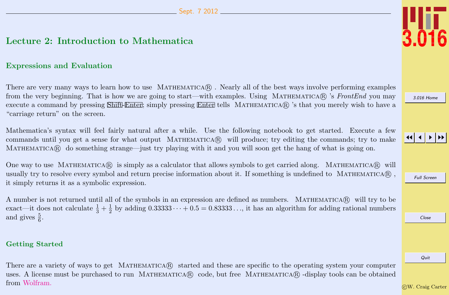# <span id="page-0-0"></span>Lecture 2: Introduction to Mathematica

## Expressions and Evaluation

There are very many ways to learn how to use MATHEMATICAR. Nearly all of the best ways involve performing examples from the very beginning. That is how we are going to start—with examples. Using MATHEMATICA( $\mathbb{R}$ ) 's FrontEnd you may execute a command by pressing Shift-Enter; simply pressing Enter tells MATHEMATICAR 's that you merely wish to have a "carriage return" on the screen.

Mathematica's syntax will feel fairly natural after a while. Use the following notebook to get started. Execute a few commands until you get a sense for what output MATHEMATICAR will produce; try editing the commands; try to make MATHEMATICAR do something strange—just try playing with it and you will soon get the hang of what is going on.

One way to use MATHEMATICA(R) is simply as a calculator that allows symbols to get carried along. MATHEMATICA(R) will usually try to resolve every symbol and return precise information about it. If something is undefined to MATHEMATICA $\mathbb{R}$ , it simply returns it as a symbolic expression.

A number is not returned until all of the symbols in an expression are defined as numbers. MATHEMATICA® will try to be exact—it does not calculate  $\frac{1}{3} + \frac{1}{2}$  $\frac{1}{2}$  by adding  $0.333333...+0.5=0.83333...$ , it has an algorithm for adding rational numbers and gives  $\frac{5}{6}$ .

#### Getting Started

 c W. Craig Carter There are a variety of ways to get MATHEMATICA $\circledR$  started and these are specific to the operating system your computer uses. A license must be purchased to run MATHEMATICA(R) code, but free MATHEMATICA(R) -display tools can be obtained from [Wolfram.](http://www.wolfram.com/products/mathreader/)



[3.016 Home](http://pruffle.mit.edu/3.016-2012/)

JJ J I II

Full Screen

Close

Quit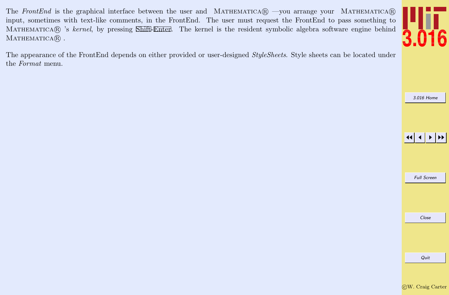The FrontEnd is the graphical interface between the user and MATHEMATICA $\mathbb{R}$  —you arrange your MATHEMATICA $\mathbb{R}$ input, sometimes with text-like comments, in the FrontEnd. The user must request the FrontEnd to pass something to MATHEMATICAR 's kernel, by pressing Shift-Enter. The kernel is the resident symbolic algebra software engine behind MATHEMATICAR .

The appearance of the FrontEnd depends on either provided or user-designed StyleSheets. Style sheets can be located under the Format menu.



[3.016 Home](http://pruffle.mit.edu/3.016-2012/)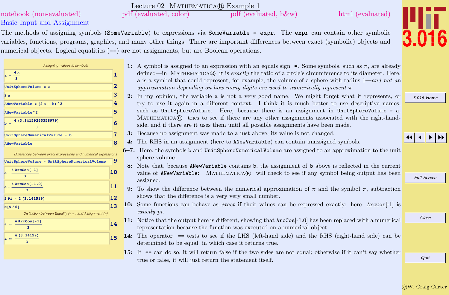#### CW. Craig Carter

Quit

### notebook (non-evaluated) Basic Input and Assignment

The methods of assigning symbols (SomeVariable) to expressions via SomeVariable = expr. The expr can contain other symbolic variables, functions, programs, graphics, and many other things. There are important differences between exact (symbolic) objects and numerical objects. Logical equalities (==) are not assignments, but are Boolean operations.

Lecture 02 MATHEMATICA(R) Example 1

pdf (evaluated, color)

#### Assigning values to symbols  $4\pi$  $\mathbf{1}$  $\overline{\mathbf{2}}$ UnitSphereVolume = a 3  $2a$  $\overline{4}$ ANewVariable =  $(2a + b)$  ^2 5 ANewVariable ^ 2 4 (3.14159265358979) 6  $\overline{7}$ UnitSphereNumericalVolume = b 8 ANewVariable Differences between exact expressions and numerical expressions و ا UnitSphereVolume - UnitSphereNumericalVolume  $4 ArcCos[-1]$ 10  $4$  ArcCos $[-1.0]$  $|11$  $\overline{\mathbf{3}}$  $|12$  $2 Pi - 2(3.141519)$  $|13$  $N[5/6]$ Distinction between Equality  $(==)$  and Assignment  $(=)$  $4$  ArcCos $[-1]$ 14  $\overline{\mathbf{3}}$  $4(3.14159)$ 15

 $\mathbf{R}$ 

1: A symbol is assigned to an expression with an equals sign =. Some symbols, such as  $\pi$ , are already defined—in MATHEMATICA $\mathbb{R}$  it is *exactly* the ratio of a circle's circumference to its diameter. Here, **a** is a symbol that could represent, for example, the volume of a sphere with radius  $1$ —and not an approximation depending on how many digits are used to numerically represent  $\pi$ .

 $pdf$  (evaluated, b &w)

- 2: In my opinion, the variable a is not a very good name. We might forget what it represents, or try to use it again in a different context. I think it is much better to use descriptive names, such as UnitSphereVolume. Here, because there is an assignment in UnitSphereVolume = a, MATHEMATICAR tries to see if there are any other assignments associated with the right-handside, and if there are it uses them until all possible assignments have been made.
- 3: Because no assignment was made to a just above, its value is not changed.
- 4: The RHS in an assignment (here to **ANewVariable**) can contain unassigned symbols.
- $6-7$ : Here, the symbols b and UnitSphereNumericalVolume are assigned to an approximation to the unit sphere volume.
- 8: Note that, because ANewVariable contains b, the assignment of b above is reflected in the current value of ANewVariable: MATHEMATICA®, will check to see if any symbol being output has been assigned.
- 9: To show the difference between the numerical approximation of  $\pi$  and the symbol  $\pi$ , subtraction shows that the difference is a very very small number.
- 10: Some functions can behave as *exact* if their values can be expressed exactly: here **ArcCos**[-1] is  $exactly\ pi.$
- 11: Notice that the output here is different, showing that  $\text{Arccos}[-1.0]$  has been replaced with a numerical representation because the function was executed on a numerical object.
- 14: The operator == tests to see if the LHS (left-hand side) and the RHS (right-hand side) can be determined to be equal, in which case it returns true.
- 15: If = can do so, it will return false if the two sides are not equal; otherwise if it can't say whether true or false, it will just return the statement itself.

html (evaluated)

3.016 Home

**Full Screen** 

Close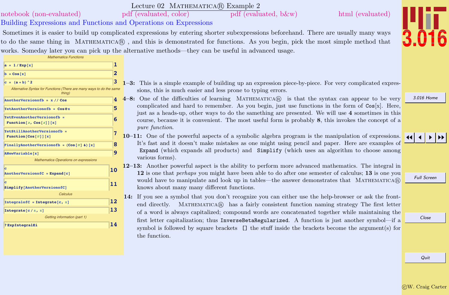#### ©W. Craig Carter

Quit

Lecture 02 MATHEMATICA $\mathbb R$  Example 2 pdf (evaluated, color)

 $pdf$  (evaluated, b &w)

## Building Expressions and Functions and Operations on Expressions

notebook (non-evaluated)

Sometimes it is easier to build up complicated expressions by entering shorter subexpressions beforehand. There are usually many ways to do the same thing in MATHEMATICA®, and this is demonstrated for functions. As you begin, pick the most simple method that works. Someday later you can pick up the alternative methods—they can be useful in advanced usage.

| <b>Mathematica Functions</b>                                                   |                                                                                                                                                                                                                   |                    |
|--------------------------------------------------------------------------------|-------------------------------------------------------------------------------------------------------------------------------------------------------------------------------------------------------------------|--------------------|
| $a = 1 / Exp[x]$                                                               |                                                                                                                                                                                                                   |                    |
| 2<br>$b = Cos[x]$                                                              |                                                                                                                                                                                                                   |                    |
| 3<br>$c = (a + b)$ ^2                                                          | 1-3: This is a simple example of building up an expression piece-by-piece. For very complicated expres-                                                                                                           |                    |
| Alternative Syntax for Functions (There are many ways to do the same<br>thina) | sions, this is much easier and less prone to typing errors.                                                                                                                                                       |                    |
| AnotherVersion of $b = x$ // Cos                                               | 4 4–8: One of the difficulties of learning MATHEMATICA® is that the syntax can appear to be very                                                                                                                  | 3.016 Home         |
| 5<br>$YetAnother Version of b = Cos@x$                                         | complicated and hard to remember. As you begin, just use functions in the form of $\cos[x]$ . Here,<br>just as a heads-up, other ways to do the samething are presented. We will use 4 sometimes in this          |                    |
| YetEvenAnotherVersionofb =<br>6<br>Function $[z, \text{Cos } [z]] [x]$         | course, because it is convenient. The most useful form is probably 8, this invokes the concept of a                                                                                                               |                    |
| YetStillAnotherVersionofb =                                                    | pure function.                                                                                                                                                                                                    |                    |
| Function $[Cos [ #]] [x]$                                                      | <b>10–11:</b> One of the powerful aspects of a symbolic algebra program is the manipulation of expressions.                                                                                                       |                    |
| 8<br>FinallyAnotherVersionofb = $(Cos [ #] &e) [x]$                            | It's fast and it doesn't make mistakes as one might using pencil and paper. Here are examples of                                                                                                                  |                    |
| $\mathbf{q}$<br>$\Delta$ NewVariable $\lceil x \rceil$                         | Expand (which expands all products) and Simplify (which uses an algorithm to choose among<br>various forms).                                                                                                      |                    |
| Mathematica Operations on expressions                                          |                                                                                                                                                                                                                   |                    |
| 10<br>$Another Version of C = Expand[c]$                                       | 12–13: Another powerful aspect is the ability to perform more advanced mathematics. The integral in<br>12 is one that <i>perhaps</i> you might have been able to do after one semester of calculus; 13 is one you |                    |
| 11                                                                             | would have to manipulate and look up in tables—the answer demonstrates that MATHEMATICA®                                                                                                                          | <b>Full Screen</b> |
| Simplify[AnotherVersionofC]                                                    | knows about many many different functions.                                                                                                                                                                        |                    |
| Calculus<br> 12                                                                | 14: If you see a symbol that you don't recognize you can either use the help-browser or ask the front-                                                                                                            |                    |
| IntegralofC = Integrate $[c, x]$                                               | end directly. MATHEMATICA® has a fairly consistent function naming strategy The first letter                                                                                                                      |                    |
| 13<br>Integrate $[c / x, x]$                                                   | of a word is always capitalized; compound words are concatenated together while maintaining the                                                                                                                   |                    |
| Getting information (part 1)                                                   | first letter capitalization; thus InverseBetaRegularized. A function is just another symbol—if a                                                                                                                  | Close              |
| 14<br>? ExpIntegralEi                                                          | symbol is followed by square brackets $\left[\right]$ the stuff inside the brackets become the argument(s) for                                                                                                    |                    |
|                                                                                | the function.                                                                                                                                                                                                     |                    |
|                                                                                |                                                                                                                                                                                                                   |                    |
|                                                                                |                                                                                                                                                                                                                   |                    |



html (evaluated)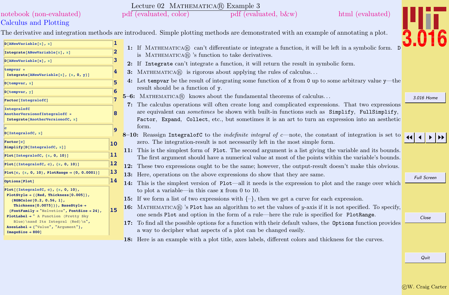## Calculus and Plotting [notebook \(non-evaluated\)](http://pruffle.mit.edu/3.016-2012/Notebooks/L02/Lecture-02.nb) [pdf \(evaluated, color\)](http://pruffle.mit.edu/3.016-2012/pdf/L02/Lecture-02-3-COL.pdf) [pdf \(evaluated, b&w\)](http://pruffle.mit.edu/3.016-2012/pdf/L02/Lecture-02-3-BW.pdf) [html \(evaluated\)](http://pruffle.mit.edu/3.016-2012/html/Lecture-02/HTMLLinks/index_3.html)

The derivative and integration methods are introduced. Simple plotting methods are demonstrated with an example of annotating a plot.

Lecture 02 MATHEMATICA<sup>®</sup> Example 3

| $D[$ ANewVariable $[x]$ , x]                                                                                           |                         | 1: If MATHEMATICAR can't differentiate or integrate a function, it will be left in a symbolic form.                  |                    |
|------------------------------------------------------------------------------------------------------------------------|-------------------------|----------------------------------------------------------------------------------------------------------------------|--------------------|
| Integrate [ANewVariable [x], x]                                                                                        | $\overline{\mathbf{2}}$ | is MATHEMATICA $(\widehat{R})$ 's function to take derivatives.                                                      |                    |
| $D[$ ANewVariable $[x]$ , z]                                                                                           | 3                       | 2: If Integrate can't integrate a function, it will return the result in symbolic form.                              |                    |
| $tempvar =$<br>Integrate[ANewVariable[x], {x, 0, y}]                                                                   | 4                       | <b>3:</b> MATHEMATICA $\circledR$ is rigorous about applying the rules of calculus                                   |                    |
| $D[$ tempvar, x]                                                                                                       | 5                       | 4: Let temporar be the result of integrating some function of x from 0 up to some arbitrary value $y$ —the           |                    |
|                                                                                                                        | 6                       | result should be a function of y.                                                                                    |                    |
| $D$ [tempvar, y]                                                                                                       |                         | 5-6: MATHEMATICA $\circledR$ knows about the fundamental theorems of calculus                                        | 3.016 Home         |
| Factor [IntegralofC]                                                                                                   |                         | <b>7:</b> The calculus operations will often create long and complicated expressions. That two expressions           |                    |
| IntegralofC<br>AnotherVersionofIntegralofC =                                                                           | 8                       | are equivalent can <i>sometimes</i> be shown with built-in functions such as <b>Simplify</b> , <b>FullSimplify</b> , |                    |
| Integrate[AnotherVersionofC, x]                                                                                        |                         | Factor, Expand, Collect, etc., but sometimes it is an art to turn an expression into an aesthetic                    |                    |
|                                                                                                                        | 9                       | form.                                                                                                                |                    |
| D[Integrable, x]                                                                                                       |                         | 8-10: Reassign Integral of C to the <i>indefinite integral of c</i> —note, the constant of integration is set to     |                    |
| Factor[c]                                                                                                              | 10                      | zero. The integration-result is not necessarily left in the most simple form.                                        |                    |
| $\text{Simplify}[\text{D}[\text{IntegralofC, x}]]$                                                                     |                         | 11: This is the simplest form of Plot. The second argument is a list giving the variable and its bounds.             |                    |
| Plot[IntegralofC, $\{x, 0, 10\}$ ]                                                                                     | 11                      | The first argument should have a numerical value at most of the points within the variable's bounds.                 |                    |
| Plot[{IntegralofC, c}, $\{x, 0, 10\}$ ]                                                                                | 12                      | 12: These two expressions ought to be the same; however, the output-result doesn't make this obvious.                |                    |
| Plot[c, {x, 0, 10}, PlotRange $\rightarrow$ {0, 0.0001}]                                                               | $ 13\rangle$            | 13: Here, operations on the above expressions do show that they are same.                                            | <b>Full Screen</b> |
| Options [Plot]                                                                                                         | 14                      | 14: This is the simplest version of Plot—all it needs is the expression to plot and the range over which             |                    |
| Plot $[\{\text{Integrable}, c\}, \{x, 0, 10\},$                                                                        |                         | to plot a variable—in this case x from 0 to 10.                                                                      |                    |
| PlotStyle $\rightarrow$ {{Red, Thickness[0.005]},<br>${RGEcolor[0.2, 0.56, 1]},$                                       |                         | <b>15:</b> If we form a list of two expressions with $\{\text{-}\}\$ , then we get a curve for each expression.      |                    |
| Thickness $[0.0075]$ } }, BaseStyle $\rightarrow$                                                                      | 15                      | 16: MATHEMATICA $\circledR$ 's Plot has an algorithm to set the values of y-axis if it is not specified. To specify, |                    |
| {FontFamily $\rightarrow$ "Helvetica", FontSize $\rightarrow$ 24},<br>$PlotLabel \rightarrow "$ A Function (Pretty Sky |                         | one sends Plot and option in the form of a rule—here the rule is specified for PlotRange.                            | Close              |
| Blue) \nand Its Integral (Red) \n",                                                                                    |                         | 17: To find all the possible options for a function with their default values, the Options function provides         |                    |
| $\texttt{AresLabel} \rightarrow \{\text{``Value''}, \text{``Argument''}\},$<br>$ImageSize \rightarrow 800$ ]           |                         | a way to decipher what aspects of a plot can be changed easily.                                                      |                    |
|                                                                                                                        |                         | 18: Here is an example with a plot title, axes labels, different colors and thickness for the curves.                |                    |
|                                                                                                                        |                         |                                                                                                                      |                    |
|                                                                                                                        |                         |                                                                                                                      |                    |

c W. Craig Carter

Quit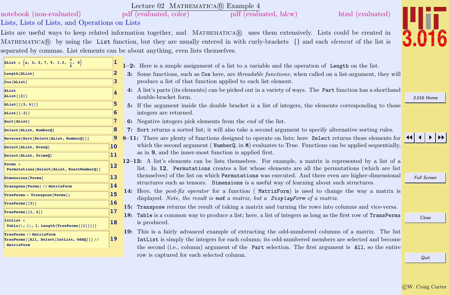#### c W. Craig Carter

Quit

## Lecture 02 MATHEMATICA(R) Example 4

[notebook \(non-evaluated\)](http://pruffle.mit.edu/3.016-2012/Notebooks/L02/Lecture-02.nb) [pdf \(evaluated, color\)](http://pruffle.mit.edu/3.016-2012/pdf/L02/Lecture-02-4-COL.pdf) [pdf \(evaluated, b&w\)](http://pruffle.mit.edu/3.016-2012/pdf/L02/Lecture-02-4-BW.pdf) [html \(evaluated\)](http://pruffle.mit.edu/3.016-2012/html/Lecture-02/HTMLLinks/index_4.html)

## Lists, Lists of Lists, and Operations on Lists

Lists are useful ways to keep related information together, and MATHEMATICA® uses them extensively. Lists could be created in MATHEMATICA(R) by using the List function, but they are usually entered in with curly-brackets  $\{\}$  and each *element* of the list is separated by commas. List elements can be about anything, even lists themselves.

| AList = $\{a, b, 2, 7, 9, 1.3, \frac{\pi}{2}, 0\}$                                    | 1  |
|---------------------------------------------------------------------------------------|----|
| Length [AList]                                                                        | 2  |
| Cos[AList]                                                                            | 3  |
| AList<br>AList [[2]]                                                                  | 4  |
| AList [[{3, 6}]]                                                                      | 5  |
| AList [[-2]]                                                                          | 6  |
| Sort[AList]                                                                           | 7  |
| Select [AList, Number0]                                                               | 8  |
| Reverse[Sort[Select[AList, Number0]]]                                                 | 9  |
| Select [AList, Even0]                                                                 | 10 |
| Select[AList, Prime0]                                                                 | 11 |
| $Perms =$<br>Permutations [Select [AList, ExactNumberQ]]                              | 12 |
| Dimensions [Perms]                                                                    | 13 |
| Transpose[Perms] // MatrixForm                                                        | 14 |
| TranPerms = Transpose [Perms];                                                        | 15 |
| TranPerms[[3]]                                                                        | 16 |
| TranPerms[[1, 4]]                                                                     | 17 |
| IntList =<br>Table[i, {i, 1, Length[TranPerms[[1]]]}]                                 | 18 |
| TranPerms // MatrixForm<br>TranPerms [[All, Select [IntList, OddQ]]] //<br>MatrixForm | 19 |

- 1–2: Here is a simple assignment of a list to a variable and the operation of Length on the list.
- 3: Some functions, such as Cos here, are threadable functions; when called on a list-argument, they will produce a list of that function applied to each list element.
- 4: A list's parts (its elements) can be picked out in a variety of ways. The Part function has a shorthand double-bracket form.
- 5: If the argument inside the double bracket is a list of integers, the elements corresponding to those integers are returned.
- 6: Negative integers pick elements from the end of the list.
- 7: Sort returns a sorted list; it will also take a second argument to specify alternative sorting rules.
- 8–11: There are plenty of functions designed to operate on lists; here Select returns those elements for which the second argument (NumberQ, in 8) evaluates to True. Functions can be applied sequentially, as in 9, and the inner-most function is applied first.
- 12–13: A list's elements can be lists themselves. For example, a matrix is represented by a list of a list. In 12, Permutations creates a list whose elements are all the permutations (which are list themselves) of the list on which Permutations was executed. And there even are higher-dimensional structures such as tensors. Dimensions is a useful way of learning about such structures.
- 14: Here, the post-fix operator for a function (MatrixForm) is used to change the way a matrix is displayed. Note, the result is not a matrix, but a DisplayForm of a matrix.

15: Transpose returns the result of taking a matrix and turning the rows into columns and vice-versa.

- 18: Table is a common way to produce a list; here, a list of integers as long as the first row of TransPerms is produced.
- 19: This is a fairly advanced example of extracting the odd-numbered columns of a matrix. The list IntList is simply the integers for each column; its odd-numbered members are selected and become the second (i.e., column) argument of the Part selection. The first argument is All, so the entire row is captured for each selected column.

[3.016 Home](http://pruffle.mit.edu/3.016-2012/)

JJ J I II

Full Screen

Close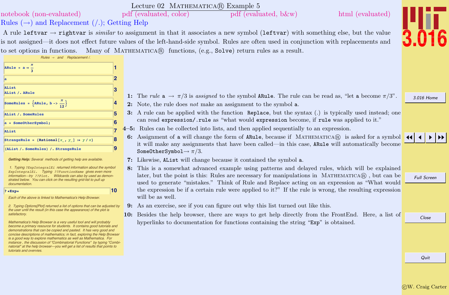#### c W. Craig Carter

## Lecture 02 MATHEMATICA(R) Example 5

Rules  $(\rightarrow)$  and Replacement  $($ .); Getting Help [notebook \(non-evaluated\)](http://pruffle.mit.edu/3.016-2012/Notebooks/L02/Lecture-02.nb) [pdf \(evaluated, color\)](http://pruffle.mit.edu/3.016-2012/pdf/L02/Lecture-02-5-COL.pdf) [pdf \(evaluated, b&w\)](http://pruffle.mit.edu/3.016-2012/pdf/L02/Lecture-02-5-BW.pdf) [html \(evaluated\)](http://pruffle.mit.edu/3.016-2012/html/Lecture-02/HTMLLinks/index_5.html)

A rule leftvar  $\rightarrow$  rightvar is similar to assignment in that it associates a new symbol (leftvar) with something else, but the value is not assigned—it does not effect future values of the left-hand-side symbol. Rules are often used in conjunction with replacements and to set options in functions. Many of MATHEMATICA® functions, (e.g., Solve) return rules as a result.

**ARule =**  $a \rightarrow \frac{\pi}{a}$ **3 a 2 3 AList AList ê. ARule SomeRules** =  $\left\{ \text{ARule, } b \rightarrow \frac{\pi}{12} \right\}$ **AList <sup>ê</sup>. SomeRules 5 a = SomeOtherSymbol; 6 AList 7 8R RationalE** *x*<sub> $\sim$ </sub> *f R R B B m z f B B m eg* **<b>***m m h m h m h n n n n n n n n n n n n l AList* **/. SomeRules) /. StrangeRule <b>9** 

 $Rules \rightarrow and Replacement$  /.

**Getting Help:** Several methods of getting help are available.

| 1. Typing ?ExpIntegralEi returned information about the symbol     |
|--------------------------------------------------------------------|
| ExpIntegralEi. Typing ??FunctionName gives even more               |
| information-try $??Plot.$ Wildcards can also by used as demon-     |
| strated below. You can click on the resulting grid-list to pull up |
| documentation.                                                     |

**? \*Exp\* 10**

Each of the above is linked to Mathematica's Help Browser.

2. Typing Options[Plot] returned a list of options that can be adjusted by the user until the result (in this case the appearance) of the plot is satisfactory.

Mathematica's Help Browser is a very useful tool and will probably become a primary resource for students. It contains good tutorials and demonstrations that can be copied and pasted. It has very good and concise descriptions of mathematics; in fact, exploring the Help Browser is a good way to explore mathematics as well as Mathematica. For [instance , the discussion of "Combinatorial Functions" by typing "Combi](http://pruffle.mit.edu/3.016-2012/html/Lecture-02/HTMLLinks/index_5.html)natorial" at the help browser---you will get a list of results that points to tutorials and overvies.

| 1: The rule $a \rightarrow \pi/3$ is assigned to the symbol ARule. The rule can be read as, "let a become $\pi/3$ ".<br>2: Note, the rule does not make an assignment to the symbol a.                                                         |  |       | 3.016 Home         |  |
|------------------------------------------------------------------------------------------------------------------------------------------------------------------------------------------------------------------------------------------------|--|-------|--------------------|--|
| 3: A rule can be applied with the function Replace, but the syntax (.) is typically used instead; one<br>can read expression/.rule as "what would expression become, if rule was applied to it."                                               |  |       |                    |  |
| $4-5$ : Rules can be collected into lists, and then applied sequentially to an expression.                                                                                                                                                     |  |       |                    |  |
| 6: Assignment of a will change the form of ARule, because if MATHEMATICA(R) is asked for a symbol<br>it will make any assignments that have been called—in this case, ARule will automatically become<br>SomeOtherSymbol $\rightarrow \pi/3$ . |  |       |                    |  |
| 7: Likewise, AList will change because it contained the symbol a.                                                                                                                                                                              |  |       |                    |  |
| 8: This is a somewhat advanced example using patterns and delayed rules, which will be explained                                                                                                                                               |  |       |                    |  |
| later, but the point is this: Rules are necessary for manipulations in MATHEMATICA®, but can be<br>used to generate "mistakes." Think of Rule and Replace acting on an expression as "What would                                               |  |       | <b>Full Screen</b> |  |
| the expression be if a certain rule were applied to it?" If the rule is wrong, the resulting expression<br>will be as well.                                                                                                                    |  |       |                    |  |
| <b>9:</b> As an exercise, see if you can figure out why this list turned out like this.                                                                                                                                                        |  |       |                    |  |
| 10: Besides the help browser, there are ways to get help directly from the FrontEnd. Here, a list of<br>hyperlinks to documentation for functions containing the string "Exp" is obtained.                                                     |  | Close |                    |  |
|                                                                                                                                                                                                                                                |  |       |                    |  |
|                                                                                                                                                                                                                                                |  |       |                    |  |
|                                                                                                                                                                                                                                                |  | Quit  |                    |  |
|                                                                                                                                                                                                                                                |  |       |                    |  |

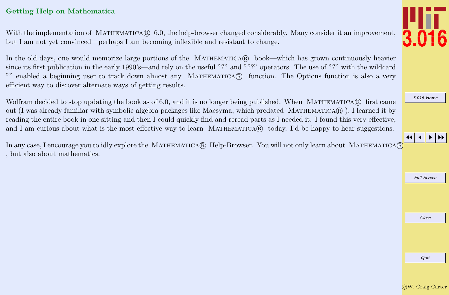## Getting Help on Mathematica

With the implementation of MATHEMATICA $\mathbb{R}$  6.0, the help-browser changed considerably. Many consider it an improvement, but I am not yet convinced—perhaps I am becoming inflexible and resistant to change.

In the old days, one would memorize large portions of the MATHEMATICAR book—which has grown continuously heavier since its first publication in the early 1990's—and rely on the useful "?" and "??" operators. The use of "?" with the wildcard enabled a beginning user to track down almost any MATHEMATICA(R) function. The Options function is also a very efficient way to discover alternate ways of getting results.

Wolfram decided to stop updating the book as of 6.0, and it is no longer being published. When MATHEMATICA $\mathbb{R}$  first came out (I was already familiar with symbolic algebra packages like Macsyma, which predated Mathematica <sup>R</sup> ), I learned it by reading the entire book in one sitting and then I could quickly find and reread parts as I needed it. I found this very effective, and I am curious about what is the most effective way to learn MATHEMATICAR today. I'd be happy to hear suggestions.

In any case, I encourage you to idly explore the MATHEMATICA(R) Help-Browser. You will not only learn about MATHEMATICA(R) , but also about mathematics.

Quit



[3.016 Home](http://pruffle.mit.edu/3.016-2012/)

JJ J I II

Full Screen

Close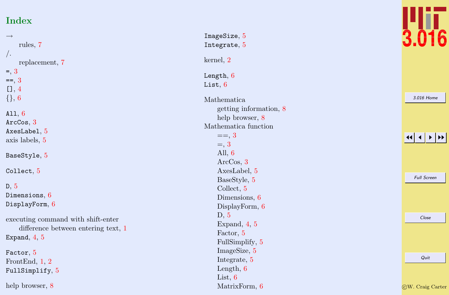# Index

| $\rightarrow$<br>rules, 7                                                 | ImageSize, 5<br>Integrate, 5                                                                          |
|---------------------------------------------------------------------------|-------------------------------------------------------------------------------------------------------|
| $\sqrt{ }$ .<br>replacement, 7                                            | kernel, 2                                                                                             |
| $=, 3$<br>$==, 3$<br>[1, 4]                                               | Length, $6$<br>List, $6$                                                                              |
| $\{\}, 6$<br>All, $6$<br>ArcCos, 3<br>AxesLabel, 5<br>axis labels, 5      | Mathematica<br>getting information, 8<br>help browser, 8<br>Mathematica function<br>$==, 3$<br>$=, 3$ |
| BaseStyle, 5                                                              | All, $6$<br>ArcCos, 3                                                                                 |
| Collect, $5$                                                              | AxesLabel, 5<br>BaseStyle, 5                                                                          |
| D, 5                                                                      | Collect, 5                                                                                            |
| Dimensions, 6                                                             | Dimensions, 6                                                                                         |
| DisplayForm, $6$                                                          | DisplayForm, 6                                                                                        |
| executing command with shift-enter<br>difference between entering text, 1 | D, 5<br>Expand, $4, 5$<br>Factor, 5                                                                   |
| Expand, $4, 5$                                                            | FullSimplify, 5                                                                                       |
| Factor, 5                                                                 | ImageSize, 5                                                                                          |
| FrontEnd, $1, 2$                                                          | Integrate, 5                                                                                          |
| FullSimplify, 5                                                           | Length, $6$                                                                                           |
| help browser, 8                                                           | List, $6$<br>MatrixForm, 6                                                                            |



 $\overline{\text{C}}\text{W}$ . Craig Carter